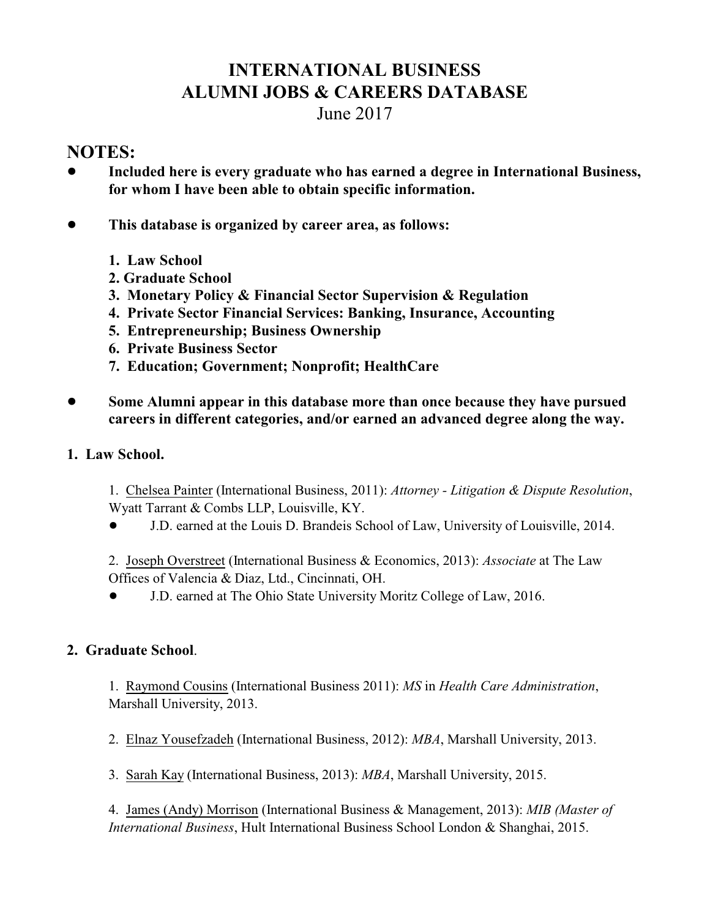# **INTERNATIONAL BUSINESS ALUMNI JOBS & CAREERS DATABASE**

# June 2017

# **NOTES:**

- ! **Included here is every graduate who has earned a degree in International Business, for whom I have been able to obtain specific information.**
- ! **This database is organized by career area, as follows:**
	- **1. Law School**
	- **2. Graduate School**
	- **3. Monetary Policy & Financial Sector Supervision & Regulation**
	- **4. Private Sector Financial Services: Banking, Insurance, Accounting**
	- **5. Entrepreneurship; Business Ownership**
	- **6. Private Business Sector**
	- **7. Education; Government; Nonprofit; HealthCare**
- ! **Some Alumni appear in this database more than once because they have pursued careers in different categories, and/or earned an advanced degree along the way.**
- **1. Law School.**
	- 1. Chelsea Painter (International Business, 2011): *Attorney Litigation & Dispute Resolution*, Wyatt Tarrant & Combs LLP, Louisville, KY.
	- ! J.D. earned at the Louis D. Brandeis School of Law, University of Louisville, 2014.
	- 2. Joseph Overstreet (International Business & Economics, 2013): *Associate* at The Law Offices of Valencia & Diaz, Ltd., Cincinnati, OH.
	- ! J.D. earned at The Ohio State University Moritz College of Law, 2016.

## **2. Graduate School**.

1. Raymond Cousins (International Business 2011): *MS* in *Health Care Administration*, Marshall University, 2013.

2. Elnaz Yousefzadeh (International Business, 2012): *MBA*, Marshall University, 2013.

3. Sarah Kay (International Business, 2013): *MBA*, Marshall University, 2015.

4. James (Andy) Morrison (International Business & Management, 2013): *MIB (Master of International Business*, Hult International Business School London & Shanghai, 2015.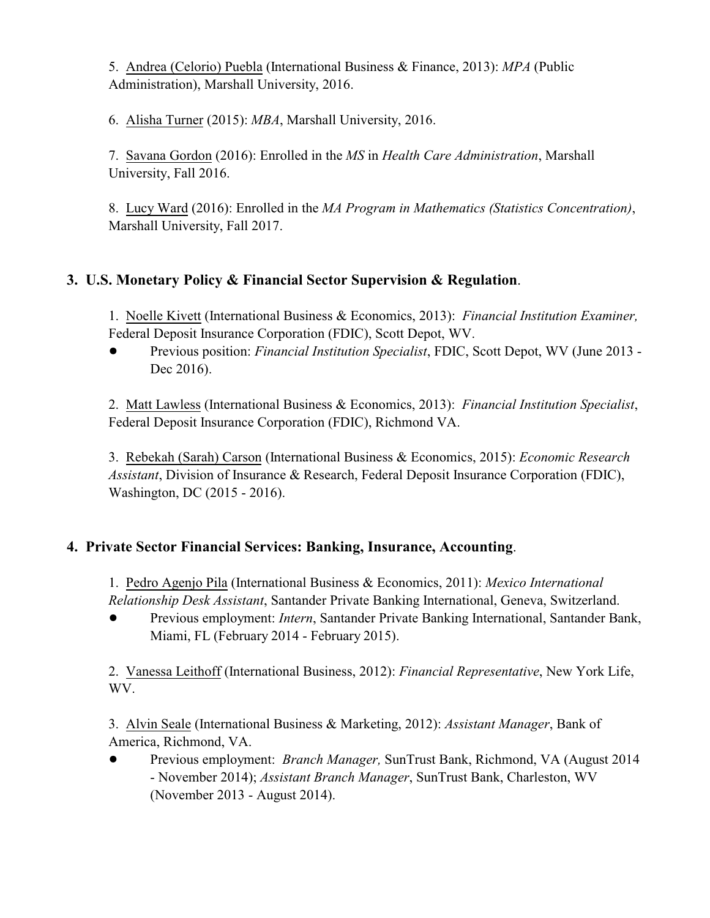5. Andrea (Celorio) Puebla (International Business & Finance, 2013): *MPA* (Public Administration), Marshall University, 2016.

6. Alisha Turner (2015): *MBA*, Marshall University, 2016.

7. Savana Gordon (2016): Enrolled in the *MS* in *Health Care Administration*, Marshall University, Fall 2016.

8. Lucy Ward (2016): Enrolled in the *MA Program in Mathematics (Statistics Concentration)*, Marshall University, Fall 2017.

# **3. U.S. Monetary Policy & Financial Sector Supervision & Regulation**.

1. Noelle Kivett (International Business & Economics, 2013): *Financial Institution Examiner,* Federal Deposit Insurance Corporation (FDIC), Scott Depot, WV.

! Previous position: *Financial Institution Specialist*, FDIC, Scott Depot, WV (June 2013 - Dec 2016).

2. Matt Lawless (International Business & Economics, 2013): *Financial Institution Specialist*, Federal Deposit Insurance Corporation (FDIC), Richmond VA.

3. Rebekah (Sarah) Carson (International Business & Economics, 2015): *Economic Research Assistant*, Division of Insurance & Research, Federal Deposit Insurance Corporation (FDIC), Washington, DC (2015 - 2016).

## **4. Private Sector Financial Services: Banking, Insurance, Accounting**.

1. Pedro Agenjo Pila (International Business & Economics, 2011): *Mexico International Relationship Desk Assistant*, Santander Private Banking International, Geneva, Switzerland.

! Previous employment: *Intern*, Santander Private Banking International, Santander Bank, Miami, FL (February 2014 - February 2015).

2. Vanessa Leithoff (International Business, 2012): *Financial Representative*, New York Life, WV.

3. Alvin Seale (International Business & Marketing, 2012): *Assistant Manager*, Bank of America, Richmond, VA.

! Previous employment: *Branch Manager,* SunTrust Bank, Richmond, VA (August 2014 - November 2014); *Assistant Branch Manager*, SunTrust Bank, Charleston, WV (November 2013 - August 2014).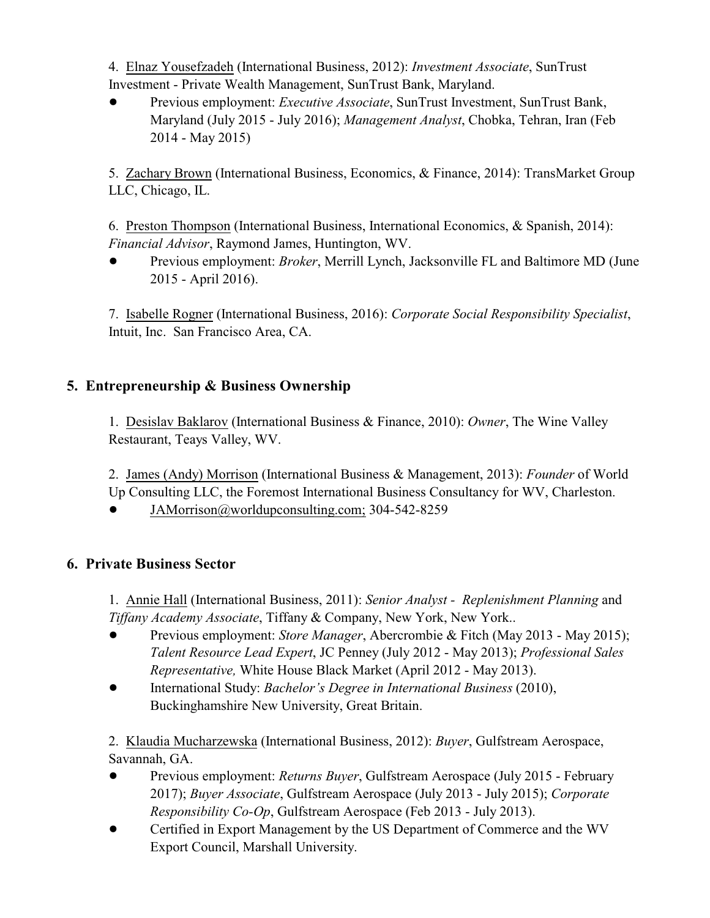4. Elnaz Yousefzadeh (International Business, 2012): *Investment Associate*, SunTrust Investment - Private Wealth Management, SunTrust Bank, Maryland.

! Previous employment: *Executive Associate*, SunTrust Investment, SunTrust Bank, Maryland (July 2015 - July 2016); *Management Analyst*, Chobka, Tehran, Iran (Feb 2014 - May 2015)

5. Zachary Brown (International Business, Economics, & Finance, 2014): TransMarket Group LLC, Chicago, IL.

6. Preston Thompson (International Business, International Economics, & Spanish, 2014): *Financial Advisor*, Raymond James, Huntington, WV.

! Previous employment: *Broker*, Merrill Lynch, Jacksonville FL and Baltimore MD (June 2015 - April 2016).

7. Isabelle Rogner (International Business, 2016): *Corporate Social Responsibility Specialist*, Intuit, Inc. San Francisco Area, CA.

## **5. Entrepreneurship & Business Ownership**

1. Desislav Baklarov (International Business & Finance, 2010): *Owner*, The Wine Valley Restaurant, Teays Valley, WV.

2. James (Andy) Morrison (International Business & Management, 2013): *Founder* of World Up Consulting LLC, the Foremost International Business Consultancy for WV, Charleston.

! [JAMorrison@worldupconsulting.com;](mailto:JAMorrison@worldupconsulting.com;) 304-542-8259

#### **6. Private Business Sector**

1. Annie Hall (International Business, 2011): *Senior Analyst - Replenishment Planning* and *Tiffany Academy Associate*, Tiffany & Company, New York, New York..

- ! Previous employment: *Store Manager*, Abercrombie & Fitch (May 2013 May 2015); *Talent Resource Lead Expert*, JC Penney (July 2012 - May 2013); *Professional Sales Representative,* White House Black Market (April 2012 - May 2013).
- ! International Study: *Bachelor's Degree in International Business* (2010), Buckinghamshire New University, Great Britain.

2. Klaudia Mucharzewska (International Business, 2012): *Buyer*, Gulfstream Aerospace, Savannah, GA.

- ! Previous employment: *Returns Buyer*, Gulfstream Aerospace (July 2015 February 2017); *Buyer Associate*, Gulfstream Aerospace (July 2013 - July 2015); *Corporate Responsibility Co-Op*, Gulfstream Aerospace (Feb 2013 - July 2013).
- ! Certified in Export Management by the US Department of Commerce and the WV Export Council, Marshall University.